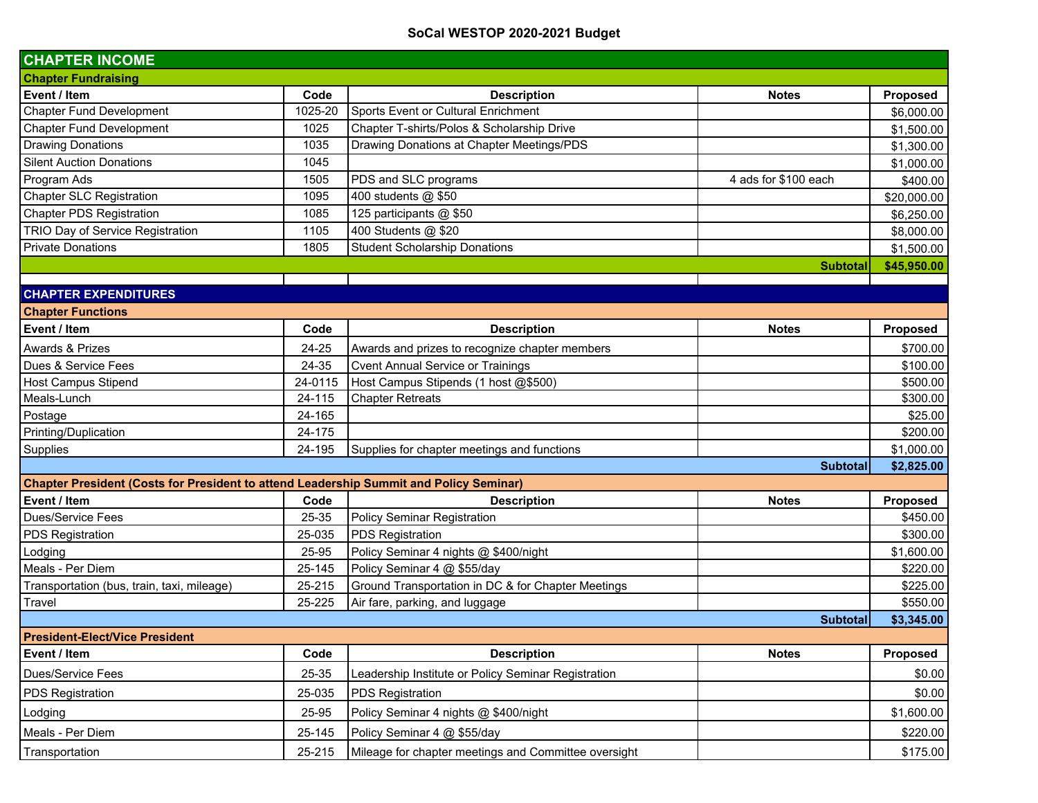| <b>CHAPTER INCOME</b>                                                                  |         |                                                      |                      |             |
|----------------------------------------------------------------------------------------|---------|------------------------------------------------------|----------------------|-------------|
| <b>Chapter Fundraising</b>                                                             |         |                                                      |                      |             |
| Event / Item                                                                           | Code    | <b>Description</b>                                   | <b>Notes</b>         | Proposed    |
| <b>Chapter Fund Development</b>                                                        | 1025-20 | Sports Event or Cultural Enrichment                  |                      | \$6,000.00  |
| <b>Chapter Fund Development</b>                                                        | 1025    | Chapter T-shirts/Polos & Scholarship Drive           |                      | \$1,500.00  |
| <b>Drawing Donations</b>                                                               | 1035    | Drawing Donations at Chapter Meetings/PDS            |                      | \$1,300.00  |
| <b>Silent Auction Donations</b>                                                        | 1045    |                                                      |                      | \$1,000.00  |
| Program Ads                                                                            | 1505    | PDS and SLC programs                                 | 4 ads for \$100 each | \$400.00    |
| <b>Chapter SLC Registration</b>                                                        | 1095    | 400 students @ \$50                                  |                      | \$20,000.00 |
| <b>Chapter PDS Registration</b>                                                        | 1085    | 125 participants @ \$50                              |                      | \$6,250.00  |
| TRIO Day of Service Registration                                                       | 1105    | 400 Students @ \$20                                  |                      | \$8,000.00  |
| <b>Private Donations</b>                                                               | 1805    | <b>Student Scholarship Donations</b>                 |                      | \$1,500.00  |
|                                                                                        |         |                                                      | <b>Subtotal</b>      | \$45,950.00 |
| <b>CHAPTER EXPENDITURES</b>                                                            |         |                                                      |                      |             |
| <b>Chapter Functions</b>                                                               |         |                                                      |                      |             |
| Event / Item                                                                           | Code    | <b>Description</b>                                   | <b>Notes</b>         | Proposed    |
| <b>Awards &amp; Prizes</b>                                                             | 24-25   | Awards and prizes to recognize chapter members       |                      | \$700.00    |
| Dues & Service Fees                                                                    | 24-35   | <b>Cvent Annual Service or Trainings</b>             |                      | \$100.00    |
| <b>Host Campus Stipend</b>                                                             | 24-0115 | Host Campus Stipends (1 host @\$500)                 |                      | \$500.00    |
| Meals-Lunch                                                                            | 24-115  | <b>Chapter Retreats</b>                              |                      | \$300.00    |
| Postage                                                                                | 24-165  |                                                      |                      | \$25.00     |
| Printing/Duplication                                                                   | 24-175  |                                                      |                      | \$200.00    |
| Supplies                                                                               | 24-195  | Supplies for chapter meetings and functions          |                      | \$1,000.00  |
|                                                                                        |         |                                                      | <b>Subtotal</b>      | \$2,825.00  |
| Chapter President (Costs for President to attend Leadership Summit and Policy Seminar) |         |                                                      |                      |             |
| Event / Item                                                                           | Code    | <b>Description</b>                                   | <b>Notes</b>         | Proposed    |
| Dues/Service Fees                                                                      | 25-35   | <b>Policy Seminar Registration</b>                   |                      | \$450.00    |
| PDS Registration                                                                       | 25-035  | PDS Registration                                     |                      | \$300.00    |
| Lodging                                                                                | 25-95   | Policy Seminar 4 nights @ \$400/night                |                      | \$1,600.00  |
| Meals - Per Diem                                                                       | 25-145  | Policy Seminar 4 @ \$55/day                          |                      | \$220.00    |
| Transportation (bus, train, taxi, mileage)                                             | 25-215  | Ground Transportation in DC & for Chapter Meetings   |                      | \$225.00    |
| Travel                                                                                 | 25-225  | Air fare, parking, and luggage                       |                      | \$550.00    |
|                                                                                        |         |                                                      | <b>Subtotal</b>      | \$3,345.00  |
| <b>President-Elect/Vice President</b>                                                  |         |                                                      |                      |             |
| Event / Item                                                                           | Code    | <b>Description</b>                                   | <b>Notes</b>         | Proposed    |
| Dues/Service Fees                                                                      | 25-35   | Leadership Institute or Policy Seminar Registration  |                      | \$0.00      |
| PDS Registration                                                                       | 25-035  | PDS Registration                                     |                      | \$0.00      |
| Lodging                                                                                | 25-95   | Policy Seminar 4 nights @ \$400/night                |                      | \$1,600.00  |
| Meals - Per Diem                                                                       | 25-145  | Policy Seminar 4 @ \$55/day                          |                      | \$220.00    |
| Transportation                                                                         | 25-215  | Mileage for chapter meetings and Committee oversight |                      | \$175.00    |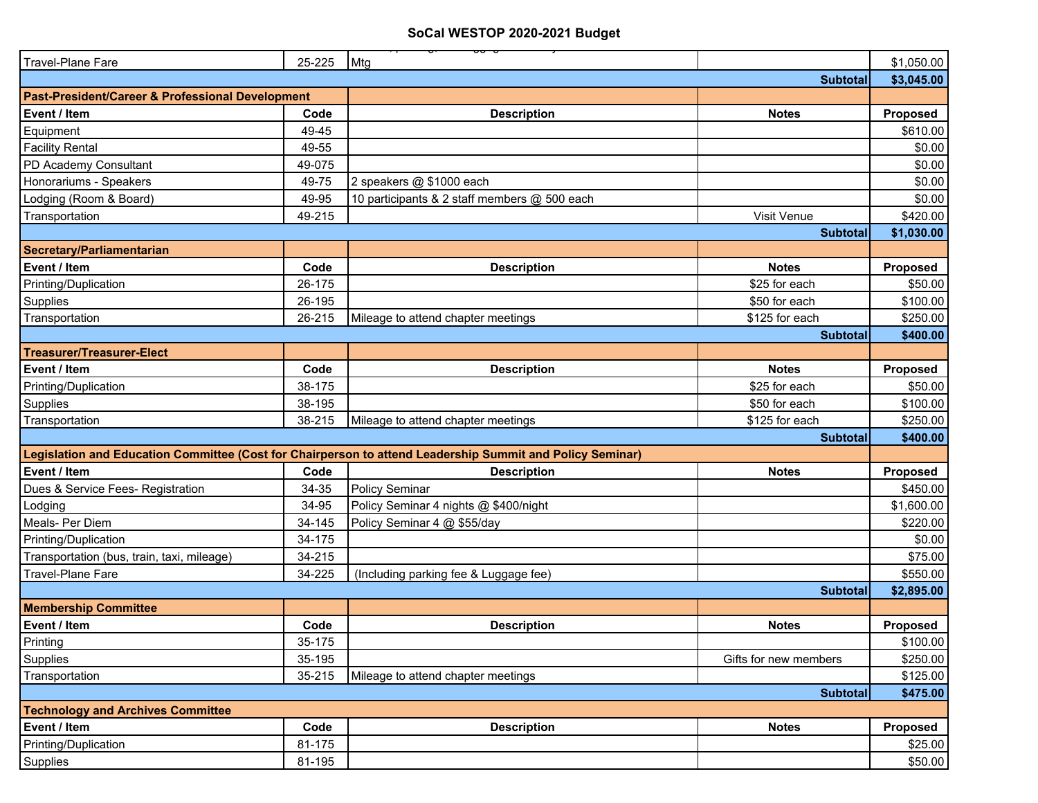| Travel-Plane Fare                                           | 25-225 | Mtg                                                                                                       | \$1,050.00      |
|-------------------------------------------------------------|--------|-----------------------------------------------------------------------------------------------------------|-----------------|
|                                                             |        | <b>Subtotal</b>                                                                                           | \$3,045.00      |
| <b>Past-President/Career &amp; Professional Development</b> |        |                                                                                                           |                 |
| Event / Item                                                | Code   | <b>Description</b><br><b>Notes</b>                                                                        | Proposed        |
| Equipment                                                   | 49-45  |                                                                                                           | \$610.00        |
| <b>Facility Rental</b>                                      | 49-55  |                                                                                                           | \$0.00          |
| PD Academy Consultant                                       | 49-075 |                                                                                                           | \$0.00          |
| Honorariums - Speakers                                      | 49-75  | 2 speakers @ \$1000 each                                                                                  | \$0.00          |
| Lodging (Room & Board)                                      | 49-95  | 10 participants & 2 staff members @ 500 each                                                              | \$0.00          |
| Transportation                                              | 49-215 | Visit Venue                                                                                               | \$420.00        |
|                                                             |        | <b>Subtotal</b>                                                                                           | \$1,030.00      |
| Secretary/Parliamentarian                                   |        |                                                                                                           |                 |
| Event / Item                                                | Code   | <b>Notes</b><br><b>Description</b>                                                                        | Proposed        |
| Printing/Duplication                                        | 26-175 | \$25 for each                                                                                             | \$50.00         |
| Supplies                                                    | 26-195 | \$50 for each                                                                                             | \$100.00        |
| Transportation                                              | 26-215 | Mileage to attend chapter meetings<br>\$125 for each                                                      | \$250.00        |
|                                                             |        | <b>Subtotal</b>                                                                                           | \$400.00        |
| <b>Treasurer/Treasurer-Elect</b>                            |        |                                                                                                           |                 |
| Event / Item                                                | Code   | <b>Notes</b><br><b>Description</b>                                                                        | Proposed        |
| Printing/Duplication                                        | 38-175 | \$25 for each                                                                                             | \$50.00         |
| Supplies                                                    | 38-195 | \$50 for each                                                                                             | \$100.00        |
| Transportation                                              | 38-215 | \$125 for each<br>Mileage to attend chapter meetings                                                      | \$250.00        |
|                                                             |        | <b>Subtotal</b>                                                                                           | \$400.00        |
|                                                             |        | Legislation and Education Committee (Cost for Chairperson to attend Leadership Summit and Policy Seminar) |                 |
| Event / Item                                                | Code   | <b>Description</b><br><b>Notes</b>                                                                        | Proposed        |
| Dues & Service Fees- Registration                           | 34-35  | Policy Seminar                                                                                            | \$450.00        |
| Lodging                                                     | 34-95  | Policy Seminar 4 nights @ \$400/night                                                                     | \$1,600.00      |
| Meals- Per Diem                                             | 34-145 | Policy Seminar 4 @ \$55/day                                                                               | \$220.00        |
| Printing/Duplication                                        | 34-175 |                                                                                                           | \$0.00          |
| Transportation (bus, train, taxi, mileage)                  | 34-215 |                                                                                                           | \$75.00         |
| <b>Travel-Plane Fare</b>                                    | 34-225 | (Including parking fee & Luggage fee)                                                                     | \$550.00        |
|                                                             |        | <b>Subtotal</b>                                                                                           | \$2,895.00      |
| <b>Membership Committee</b>                                 |        |                                                                                                           |                 |
| Event / Item                                                | Code   | <b>Description</b><br><b>Notes</b>                                                                        | <b>Proposed</b> |
| Printing                                                    | 35-175 |                                                                                                           | \$100.00        |
| Supplies                                                    | 35-195 | Gifts for new members                                                                                     | \$250.00        |
| Transportation                                              | 35-215 | Mileage to attend chapter meetings                                                                        | \$125.00        |
| <b>Subtotal</b>                                             |        |                                                                                                           |                 |
| <b>Technology and Archives Committee</b>                    |        |                                                                                                           |                 |
| Event / Item                                                | Code   | <b>Description</b><br><b>Notes</b>                                                                        | Proposed        |
| Printing/Duplication                                        | 81-175 |                                                                                                           | \$25.00         |
| Supplies                                                    | 81-195 |                                                                                                           | \$50.00         |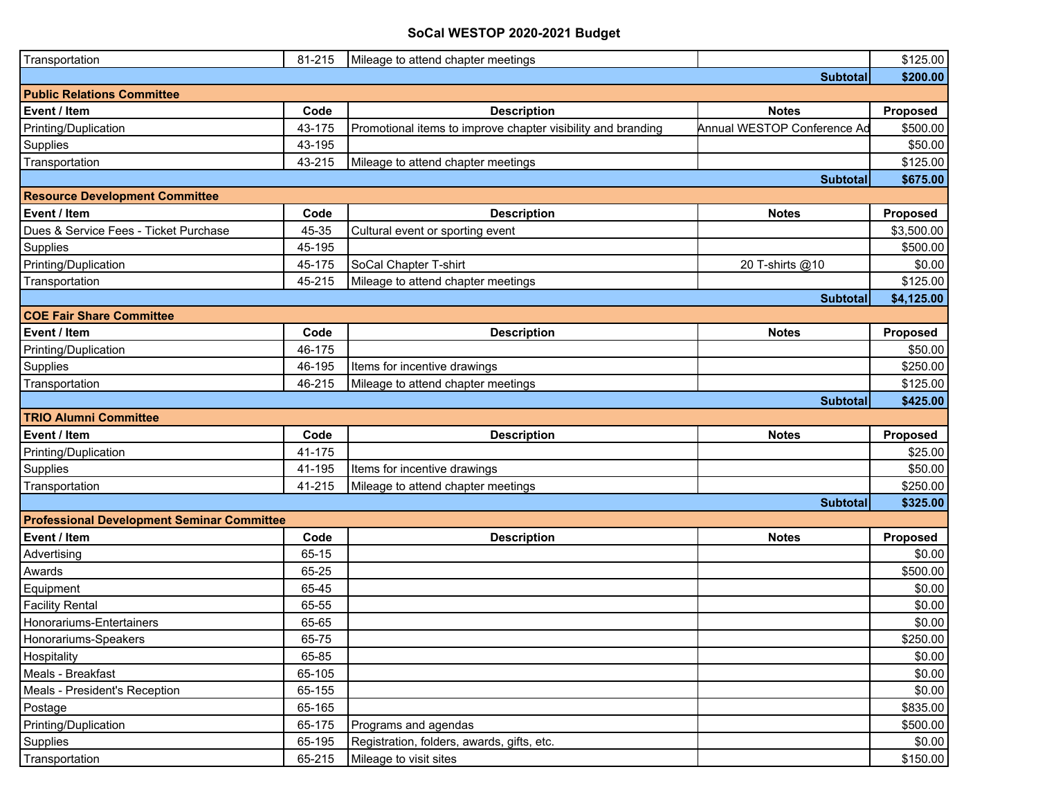| Transportation                                    | 81-215 | Mileage to attend chapter meetings                           |                             | \$125.00   |  |
|---------------------------------------------------|--------|--------------------------------------------------------------|-----------------------------|------------|--|
|                                                   |        |                                                              | <b>Subtotal</b>             | \$200.00   |  |
| <b>Public Relations Committee</b>                 |        |                                                              |                             |            |  |
| Event / Item                                      | Code   | <b>Description</b>                                           | <b>Notes</b>                | Proposed   |  |
| Printing/Duplication                              | 43-175 | Promotional items to improve chapter visibility and branding | Annual WESTOP Conference Ad | \$500.00   |  |
| Supplies                                          | 43-195 |                                                              |                             | \$50.00    |  |
| Transportation                                    | 43-215 | Mileage to attend chapter meetings                           |                             | \$125.00   |  |
| <b>Subtotal</b>                                   |        |                                                              |                             |            |  |
| <b>Resource Development Committee</b>             |        |                                                              |                             |            |  |
| Event / Item                                      | Code   | <b>Description</b>                                           | <b>Notes</b>                | Proposed   |  |
| Dues & Service Fees - Ticket Purchase             | 45-35  | Cultural event or sporting event                             |                             | \$3,500.00 |  |
| Supplies                                          | 45-195 |                                                              |                             | \$500.00   |  |
| Printing/Duplication                              | 45-175 | SoCal Chapter T-shirt                                        | 20 T-shirts @10             | \$0.00     |  |
| Transportation                                    | 45-215 | Mileage to attend chapter meetings                           |                             | \$125.00   |  |
|                                                   |        |                                                              | <b>Subtotal</b>             | \$4,125.00 |  |
| <b>COE Fair Share Committee</b>                   |        |                                                              |                             |            |  |
| Event / Item                                      | Code   | <b>Description</b>                                           | <b>Notes</b>                | Proposed   |  |
| Printing/Duplication                              | 46-175 |                                                              |                             | \$50.00    |  |
| Supplies                                          | 46-195 | Items for incentive drawings                                 |                             | \$250.00   |  |
| Transportation                                    | 46-215 | Mileage to attend chapter meetings                           |                             | \$125.00   |  |
|                                                   |        |                                                              | <b>Subtotal</b>             | \$425.00   |  |
| <b>TRIO Alumni Committee</b>                      |        |                                                              |                             |            |  |
| Event / Item                                      | Code   | <b>Description</b>                                           | <b>Notes</b>                | Proposed   |  |
| Printing/Duplication                              | 41-175 |                                                              |                             | \$25.00    |  |
| Supplies                                          | 41-195 | Items for incentive drawings                                 |                             | \$50.00    |  |
| Transportation                                    | 41-215 | Mileage to attend chapter meetings                           |                             | \$250.00   |  |
|                                                   |        |                                                              | <b>Subtotal</b>             | \$325.00   |  |
| <b>Professional Development Seminar Committee</b> |        |                                                              |                             |            |  |
| Event / Item                                      | Code   | <b>Description</b>                                           | <b>Notes</b>                | Proposed   |  |
| Advertising                                       | 65-15  |                                                              |                             | \$0.00     |  |
| Awards                                            | 65-25  |                                                              |                             | \$500.00   |  |
| Equipment                                         | 65-45  |                                                              |                             | \$0.00     |  |
| <b>Facility Rental</b>                            | 65-55  |                                                              |                             | \$0.00     |  |
| Honorariums-Entertainers                          | 65-65  |                                                              |                             | \$0.00     |  |
| Honorariums-Speakers                              | 65-75  |                                                              |                             | \$250.00   |  |
| Hospitality                                       | 65-85  |                                                              |                             | \$0.00     |  |
| Meals - Breakfast                                 | 65-105 |                                                              |                             | \$0.00     |  |
| Meals - President's Reception                     | 65-155 |                                                              |                             | \$0.00     |  |
| Postage                                           | 65-165 |                                                              |                             | \$835.00   |  |
| Printing/Duplication                              | 65-175 | Programs and agendas                                         |                             | \$500.00   |  |
| Supplies                                          | 65-195 | Registration, folders, awards, gifts, etc.                   |                             | \$0.00     |  |
| Transportation                                    | 65-215 | Mileage to visit sites                                       |                             | \$150.00   |  |
|                                                   |        |                                                              |                             |            |  |